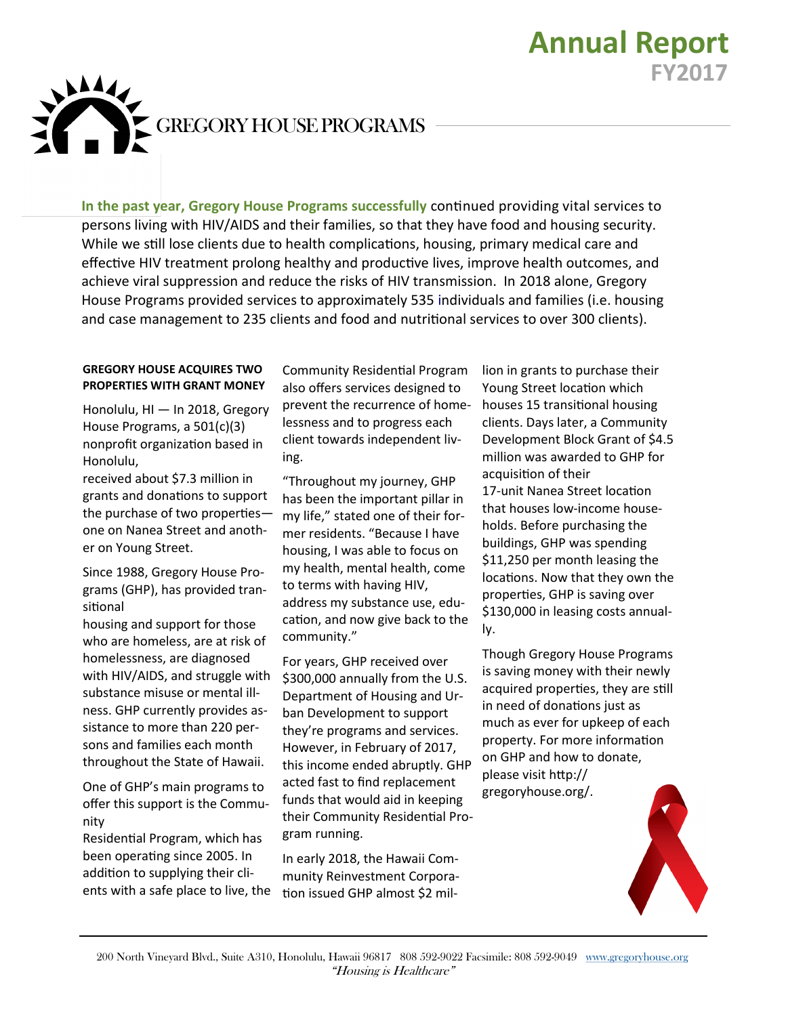

**In the past year, Gregory House Programs successfully** continued providing vital services to persons living with HIV/AIDS and their families, so that they have food and housing security. While we still lose clients due to health complications, housing, primary medical care and effective HIV treatment prolong healthy and productive lives, improve health outcomes, and achieve viral suppression and reduce the risks of HIV transmission. In 2018 alone, Gregory House Programs provided services to approximately 535 individuals and families (i.e. housing and case management to 235 clients and food and nutritional services to over 300 clients).

## **GREGORY HOUSE ACQUIRES TWO PROPERTIES WITH GRANT MONEY**

Honolulu, HI — In 2018, Gregory House Programs, a 501(c)(3) nonprofit organization based in Honolulu,

received about \$7.3 million in grants and donations to support the purchase of two properties one on Nanea Street and another on Young Street.

Since 1988, Gregory House Programs (GHP), has provided transitional

housing and support for those who are homeless, are at risk of homelessness, are diagnosed with HIV/AIDS, and struggle with substance misuse or mental illness. GHP currently provides assistance to more than 220 persons and families each month throughout the State of Hawaii.

One of GHP's main programs to offer this support is the Community

Residential Program, which has been operating since 2005. In addition to supplying their clients with a safe place to live, the

Community Residential Program also offers services designed to prevent the recurrence of homelessness and to progress each client towards independent living.

"Throughout my journey, GHP has been the important pillar in my life," stated one of their former residents. "Because I have housing, I was able to focus on my health, mental health, come to terms with having HIV, address my substance use, education, and now give back to the community."

For years, GHP received over \$300,000 annually from the U.S. Department of Housing and Urban Development to support they're programs and services. However, in February of 2017, this income ended abruptly. GHP acted fast to find replacement funds that would aid in keeping their Community Residential Program running.

In early 2018, the Hawaii Community Reinvestment Corporation issued GHP almost \$2 million in grants to purchase their Young Street location which houses 15 transitional housing clients. Days later, a Community Development Block Grant of \$4.5 million was awarded to GHP for acquisition of their 17-unit Nanea Street location that houses low-income households. Before purchasing the buildings, GHP was spending \$11,250 per month leasing the locations. Now that they own the properties, GHP is saving over \$130,000 in leasing costs annually.

**Annual Report**

**FY2017**

Though Gregory House Programs is saving money with their newly acquired properties, they are still in need of donations just as much as ever for upkeep of each property. For more information on GHP and how to donate, please visit http:// gregoryhouse.org/.